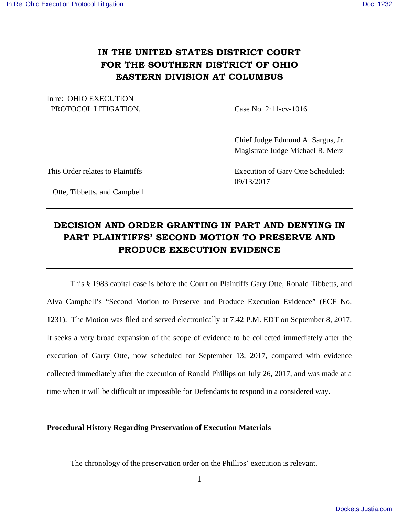## **IN THE UNITED STATES DISTRICT COURT FOR THE SOUTHERN DISTRICT OF OHIO EASTERN DIVISION AT COLUMBUS**

In re: OHIO EXECUTION PROTOCOL LITIGATION, Case No. 2:11-cv-1016

 Chief Judge Edmund A. Sargus, Jr. Magistrate Judge Michael R. Merz

This Order relates to Plaintiffs Execution of Gary Otte Scheduled:

Otte, Tibbetts, and Campbell

09/13/2017

# **DECISION AND ORDER GRANTING IN PART AND DENYING IN PART PLAINTIFFS' SECOND MOTION TO PRESERVE AND PRODUCE EXECUTION EVIDENCE**

 This § 1983 capital case is before the Court on Plaintiffs Gary Otte, Ronald Tibbetts, and Alva Campbell's "Second Motion to Preserve and Produce Execution Evidence" (ECF No. 1231). The Motion was filed and served electronically at 7:42 P.M. EDT on September 8, 2017. It seeks a very broad expansion of the scope of evidence to be collected immediately after the execution of Garry Otte, now scheduled for September 13, 2017, compared with evidence collected immediately after the execution of Ronald Phillips on July 26, 2017, and was made at a time when it will be difficult or impossible for Defendants to respond in a considered way.

#### **Procedural History Regarding Preservation of Execution Materials**

The chronology of the preservation order on the Phillips' execution is relevant.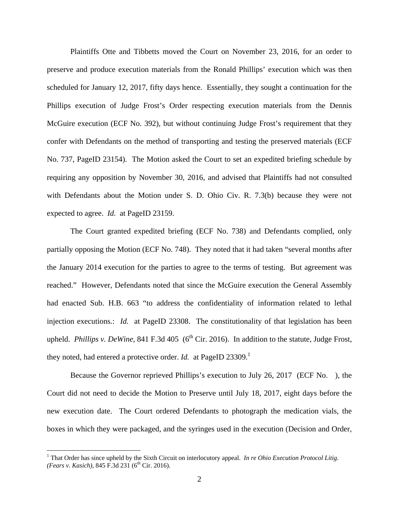Plaintiffs Otte and Tibbetts moved the Court on November 23, 2016, for an order to preserve and produce execution materials from the Ronald Phillips' execution which was then scheduled for January 12, 2017, fifty days hence. Essentially, they sought a continuation for the Phillips execution of Judge Frost's Order respecting execution materials from the Dennis McGuire execution (ECF No. 392), but without continuing Judge Frost's requirement that they confer with Defendants on the method of transporting and testing the preserved materials (ECF No. 737, PageID 23154). The Motion asked the Court to set an expedited briefing schedule by requiring any opposition by November 30, 2016, and advised that Plaintiffs had not consulted with Defendants about the Motion under S. D. Ohio Civ. R. 7.3(b) because they were not expected to agree. *Id.* at PageID 23159.

The Court granted expedited briefing (ECF No. 738) and Defendants complied, only partially opposing the Motion (ECF No. 748). They noted that it had taken "several months after the January 2014 execution for the parties to agree to the terms of testing. But agreement was reached." However, Defendants noted that since the McGuire execution the General Assembly had enacted Sub. H.B. 663 "to address the confidentiality of information related to lethal injection executions.: *Id.* at PageID 23308. The constitutionality of that legislation has been upheld. *Phillips v. DeWine*, 841 F.3d 405 (6<sup>th</sup> Cir. 2016). In addition to the statute, Judge Frost, they noted, had entered a protective order. *Id.* at PageID 23309.<sup>1</sup>

Because the Governor reprieved Phillips's execution to July 26, 2017 (ECF No. ), the Court did not need to decide the Motion to Preserve until July 18, 2017, eight days before the new execution date. The Court ordered Defendants to photograph the medication vials, the boxes in which they were packaged, and the syringes used in the execution (Decision and Order,

<u>.</u>

<sup>&</sup>lt;sup>1</sup> That Order has since upheld by the Sixth Circuit on interlocutory appeal. *In re Ohio Execution Protocol Litig. (Fears v. Kasich)*, 845 F.3d 231 (6<sup>th</sup> Cir. 2016).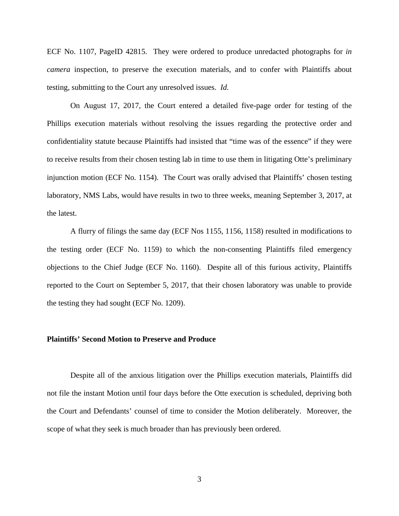ECF No. 1107, PageID 42815. They were ordered to produce unredacted photographs for *in camera* inspection, to preserve the execution materials, and to confer with Plaintiffs about testing, submitting to the Court any unresolved issues. *Id.* 

On August 17, 2017, the Court entered a detailed five-page order for testing of the Phillips execution materials without resolving the issues regarding the protective order and confidentiality statute because Plaintiffs had insisted that "time was of the essence" if they were to receive results from their chosen testing lab in time to use them in litigating Otte's preliminary injunction motion (ECF No. 1154). The Court was orally advised that Plaintiffs' chosen testing laboratory, NMS Labs, would have results in two to three weeks, meaning September 3, 2017, at the latest.

A flurry of filings the same day (ECF Nos 1155, 1156, 1158) resulted in modifications to the testing order (ECF No. 1159) to which the non-consenting Plaintiffs filed emergency objections to the Chief Judge (ECF No. 1160). Despite all of this furious activity, Plaintiffs reported to the Court on September 5, 2017, that their chosen laboratory was unable to provide the testing they had sought (ECF No. 1209).

#### **Plaintiffs' Second Motion to Preserve and Produce**

 Despite all of the anxious litigation over the Phillips execution materials, Plaintiffs did not file the instant Motion until four days before the Otte execution is scheduled, depriving both the Court and Defendants' counsel of time to consider the Motion deliberately. Moreover, the scope of what they seek is much broader than has previously been ordered.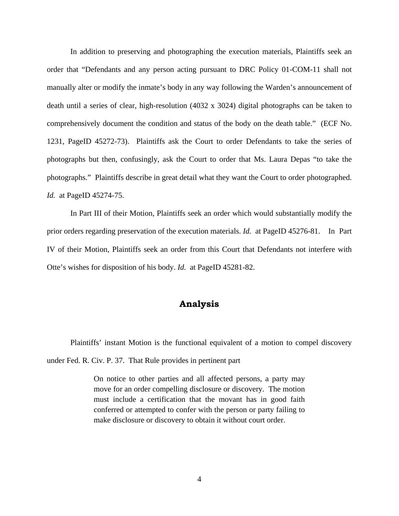In addition to preserving and photographing the execution materials, Plaintiffs seek an order that "Defendants and any person acting pursuant to DRC Policy 01-COM-11 shall not manually alter or modify the inmate's body in any way following the Warden's announcement of death until a series of clear, high-resolution (4032 x 3024) digital photographs can be taken to comprehensively document the condition and status of the body on the death table." (ECF No. 1231, PageID 45272-73). Plaintiffs ask the Court to order Defendants to take the series of photographs but then, confusingly, ask the Court to order that Ms. Laura Depas "to take the photographs." Plaintiffs describe in great detail what they want the Court to order photographed. *Id.* at PageID 45274-75.

 In Part III of their Motion, Plaintiffs seek an order which would substantially modify the prior orders regarding preservation of the execution materials. *Id.* at PageID 45276-81. In Part IV of their Motion, Plaintiffs seek an order from this Court that Defendants not interfere with Otte's wishes for disposition of his body. *Id.* at PageID 45281-82.

### **Analysis**

 Plaintiffs' instant Motion is the functional equivalent of a motion to compel discovery under Fed. R. Civ. P. 37. That Rule provides in pertinent part

> On notice to other parties and all affected persons, a party may move for an order compelling disclosure or discovery. The motion must include a certification that the movant has in good faith conferred or attempted to confer with the person or party failing to make disclosure or discovery to obtain it without court order.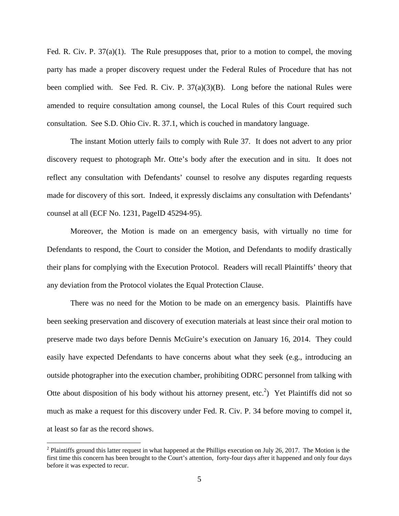Fed. R. Civ. P. 37(a)(1). The Rule presupposes that, prior to a motion to compel, the moving party has made a proper discovery request under the Federal Rules of Procedure that has not been complied with. See Fed. R. Civ. P.  $37(a)(3)(B)$ . Long before the national Rules were amended to require consultation among counsel, the Local Rules of this Court required such consultation. See S.D. Ohio Civ. R. 37.1, which is couched in mandatory language.

 The instant Motion utterly fails to comply with Rule 37. It does not advert to any prior discovery request to photograph Mr. Otte's body after the execution and in situ. It does not reflect any consultation with Defendants' counsel to resolve any disputes regarding requests made for discovery of this sort. Indeed, it expressly disclaims any consultation with Defendants' counsel at all (ECF No. 1231, PageID 45294-95).

Moreover, the Motion is made on an emergency basis, with virtually no time for Defendants to respond, the Court to consider the Motion, and Defendants to modify drastically their plans for complying with the Execution Protocol. Readers will recall Plaintiffs' theory that any deviation from the Protocol violates the Equal Protection Clause.

There was no need for the Motion to be made on an emergency basis. Plaintiffs have been seeking preservation and discovery of execution materials at least since their oral motion to preserve made two days before Dennis McGuire's execution on January 16, 2014. They could easily have expected Defendants to have concerns about what they seek (e.g., introducing an outside photographer into the execution chamber, prohibiting ODRC personnel from talking with Otte about disposition of his body without his attorney present, etc.<sup>2</sup>) Yet Plaintiffs did not so much as make a request for this discovery under Fed. R. Civ. P. 34 before moving to compel it, at least so far as the record shows.

<u>.</u>

 $2$  Plaintiffs ground this latter request in what happened at the Phillips execution on July 26, 2017. The Motion is the first time this concern has been brought to the Court's attention, forty-four days after it happened and only four days before it was expected to recur.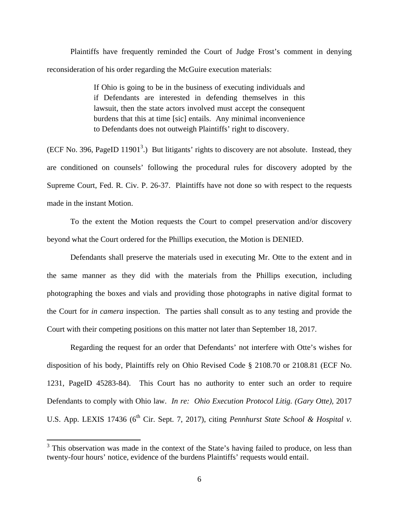Plaintiffs have frequently reminded the Court of Judge Frost's comment in denying reconsideration of his order regarding the McGuire execution materials:

> If Ohio is going to be in the business of executing individuals and if Defendants are interested in defending themselves in this lawsuit, then the state actors involved must accept the consequent burdens that this at time [sic] entails. Any minimal inconvenience to Defendants does not outweigh Plaintiffs' right to discovery.

(ECF No. 396, PageID 11901<sup>3</sup>.) But litigants' rights to discovery are not absolute. Instead, they are conditioned on counsels' following the procedural rules for discovery adopted by the Supreme Court, Fed. R. Civ. P. 26-37. Plaintiffs have not done so with respect to the requests made in the instant Motion.

To the extent the Motion requests the Court to compel preservation and/or discovery beyond what the Court ordered for the Phillips execution, the Motion is DENIED.

Defendants shall preserve the materials used in executing Mr. Otte to the extent and in the same manner as they did with the materials from the Phillips execution, including photographing the boxes and vials and providing those photographs in native digital format to the Court for *in camera* inspection. The parties shall consult as to any testing and provide the Court with their competing positions on this matter not later than September 18, 2017.

 Regarding the request for an order that Defendants' not interfere with Otte's wishes for disposition of his body, Plaintiffs rely on Ohio Revised Code § 2108.70 or 2108.81 (ECF No. 1231, PageID 45283-84). This Court has no authority to enter such an order to require Defendants to comply with Ohio law. *In re: Ohio Execution Protocol Litig. (Gary Otte),* 2017 U.S. App. LEXIS 17436 (6<sup>th</sup> Cir. Sept. 7, 2017), citing *Pennhurst State School & Hospital v.* 

<sup>&</sup>lt;sup>3</sup> This observation was made in the context of the State's having failed to produce, on less than twenty-four hours' notice, evidence of the burdens Plaintiffs' requests would entail.